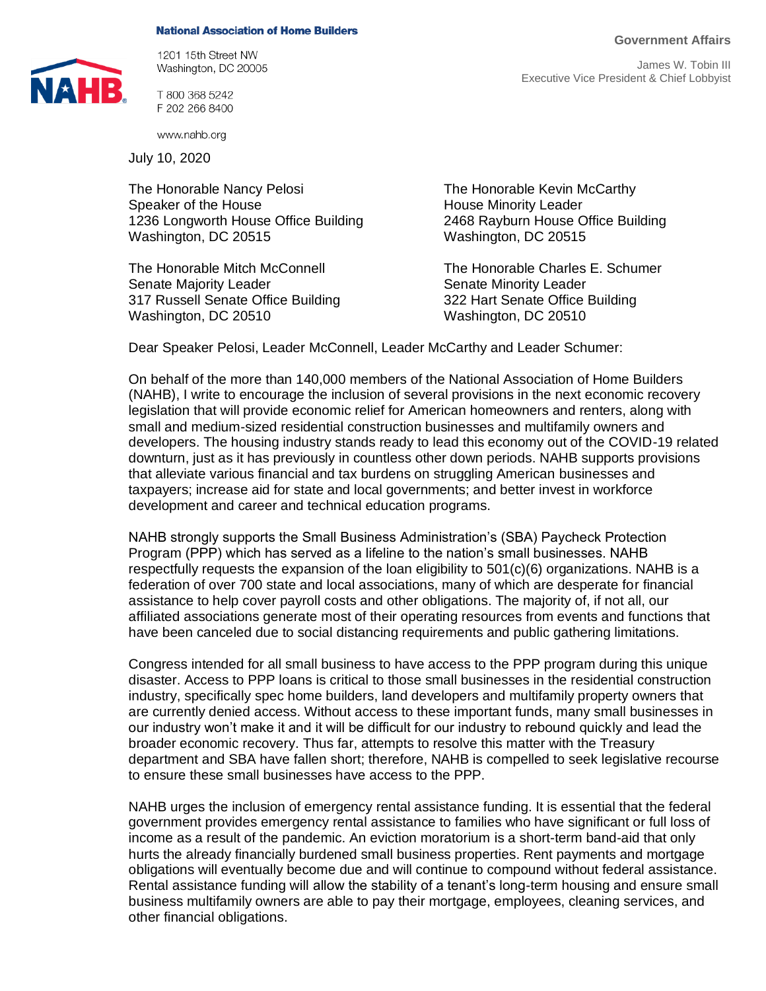## **National Association of Home Builders**



1201 15th Street NW Washington, DC 20005

T 800 368 5242 F 202 266 8400

www.nahb.org

July 10, 2020

The Honorable Nancy Pelosi **The Honorable Kevin McCarthy** Speaker of the House<br>1236 Longworth House Office Building<br>1236 Longworth House Office Building<br>2468 Rayburn House Office Building 1236 Longworth House Office Building Washington, DC 20515 Washington, DC 20515

Senate Majority Leader Senate Minority Leader 317 Russell Senate Office Building 322 Hart Senate Office Building Washington, DC 20510 Washington, DC 20510

The Honorable Mitch McConnell The Honorable Charles E. Schumer

Dear Speaker Pelosi, Leader McConnell, Leader McCarthy and Leader Schumer:

On behalf of the more than 140,000 members of the National Association of Home Builders (NAHB), I write to encourage the inclusion of several provisions in the next economic recovery legislation that will provide economic relief for American homeowners and renters, along with small and medium-sized residential construction businesses and multifamily owners and developers. The housing industry stands ready to lead this economy out of the COVID-19 related downturn, just as it has previously in countless other down periods. NAHB supports provisions that alleviate various financial and tax burdens on struggling American businesses and taxpayers; increase aid for state and local governments; and better invest in workforce development and career and technical education programs.

NAHB strongly supports the Small Business Administration's (SBA) Paycheck Protection Program (PPP) which has served as a lifeline to the nation's small businesses. NAHB respectfully requests the expansion of the loan eligibility to 501(c)(6) organizations. NAHB is a federation of over 700 state and local associations, many of which are desperate for financial assistance to help cover payroll costs and other obligations. The majority of, if not all, our affiliated associations generate most of their operating resources from events and functions that have been canceled due to social distancing requirements and public gathering limitations.

Congress intended for all small business to have access to the PPP program during this unique disaster. Access to PPP loans is critical to those small businesses in the residential construction industry, specifically spec home builders, land developers and multifamily property owners that are currently denied access. Without access to these important funds, many small businesses in our industry won't make it and it will be difficult for our industry to rebound quickly and lead the broader economic recovery. Thus far, attempts to resolve this matter with the Treasury department and SBA have fallen short; therefore, NAHB is compelled to seek legislative recourse to ensure these small businesses have access to the PPP.

NAHB urges the inclusion of emergency rental assistance funding. It is essential that the federal government provides emergency rental assistance to families who have significant or full loss of income as a result of the pandemic. An eviction moratorium is a short-term band-aid that only hurts the already financially burdened small business properties. Rent payments and mortgage obligations will eventually become due and will continue to compound without federal assistance. Rental assistance funding will allow the stability of a tenant's long-term housing and ensure small business multifamily owners are able to pay their mortgage, employees, cleaning services, and other financial obligations.

**Government Affairs**

James W. Tobin III Executive Vice President & Chief Lobbyist